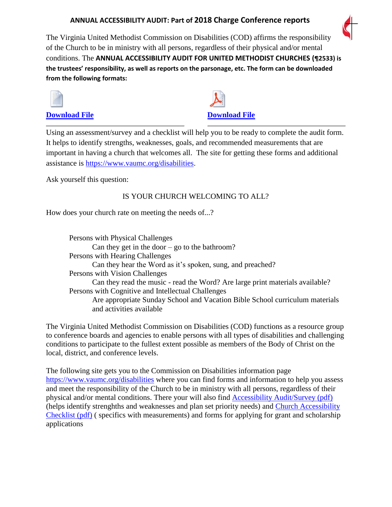## **ANNUAL ACCESSIBILITY AUDIT: Part of 2018 Charge Conference reports**



The Virginia United Methodist Commission on Disabilities (COD) affirms the responsibility of the Church to be in ministry with all persons, regardless of their physical and/or mental conditions. The **ANNUAL ACCESSIBILITY AUDIT FOR UNITED METHODIST CHURCHES (¶2533) is the trustees' responsibility, as well as reports on the parsonage, etc. The form can be downloaded from the following formats:**



**[Download File](https://www.easternshoredistrictumc.org/uploads/4/7/2/4/47247553/annualaudit_rev-jan2014.docx) [Download File](https://www.easternshoredistrictumc.org/uploads/4/7/2/4/47247553/annualaudit_rev-jan2014.pdf)**

Using an assessment/survey and a checklist will help you to be ready to complete the audit form. It helps to identify strengths, weaknesses, goals, and recommended measurements that are important in having a church that welcomes all. The site for getting these forms and additional assistance is [https://www.vaumc.org/disabilities.](https://www.vaumc.org/disabilities)

Ask yourself this question:

## IS YOUR CHURCH WELCOMING TO ALL?

How does your church rate on meeting the needs of...?

Persons with Physical Challenges Can they get in the door  $-$  go to the bathroom? Persons with Hearing Challenges Can they hear the Word as it's spoken, sung, and preached? Persons with Vision Challenges Can they read the music - read the Word? Are large print materials available? Persons with Cognitive and Intellectual Challenges Are appropriate Sunday School and Vacation Bible School curriculum materials and activities available

The Virginia United Methodist Commission on Disabilities (COD) functions as a resource group to conference boards and agencies to enable persons with all types of disabilities and challenging conditions to participate to the fullest extent possible as members of the Body of Christ on the local, district, and conference levels.

The following site gets you to the Commission on Disabilities information page <https://www.vaumc.org/disabilities> where you can find forms and information to help you assess and meet the responsibility of the Church to be in ministry with all persons, regardless of their physical and/or mental conditions. There your will also find [Accessibility Audit/Survey \(pdf\)](http://www.vaumc.org/NCFileRepository/Disabilities/AccessibilitySurveywebversion.pdf) (helps identify strenghths and weaknesses and plan set priority needs) and [Church Accessibility](http://www.vaumc.org/NCFileRepository/Disabilities/CHURCHACCESSIBILITYCHECKLIST.pdf)  [Checklist \(pdf\)](http://www.vaumc.org/NCFileRepository/Disabilities/CHURCHACCESSIBILITYCHECKLIST.pdf) ( specifics with measurements) and forms for applying for grant and scholarship applications